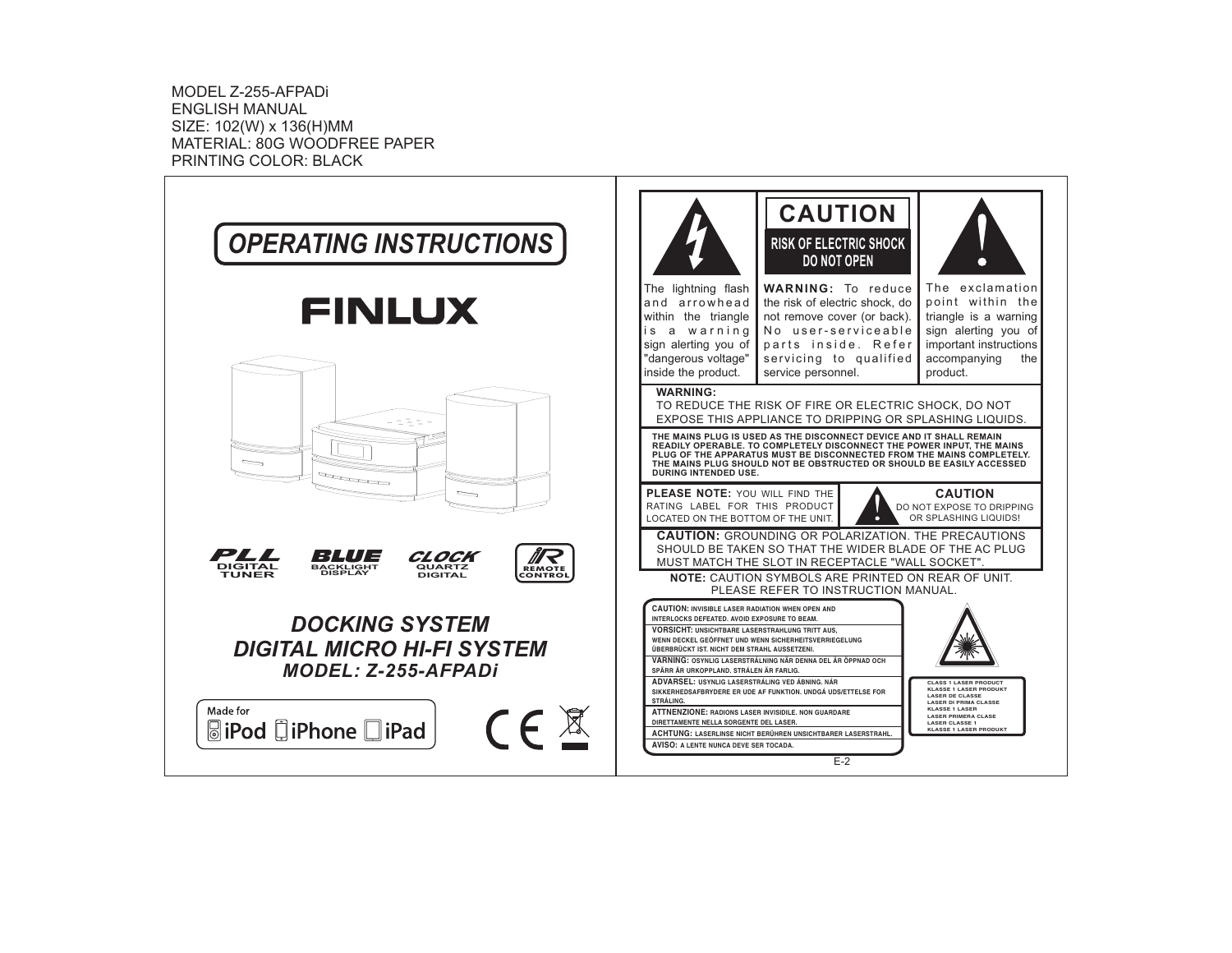MODEL Z-255-AFPADiENGLISH MANUALSIZE: 102(W) <sup>x</sup> 136(H)MM MATERIAL: 80G WOODFREE PAPER PRINTING COLOR: BLACK

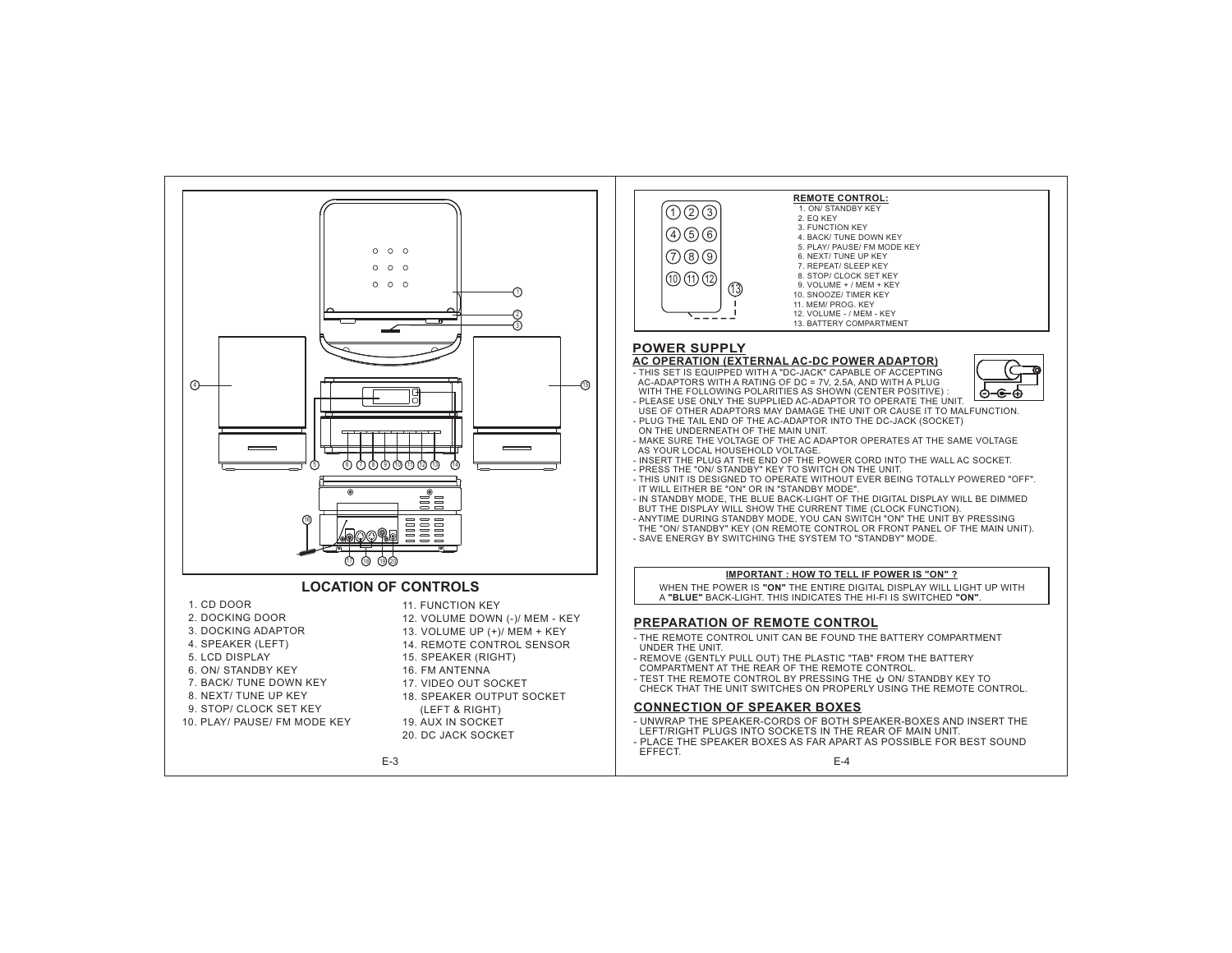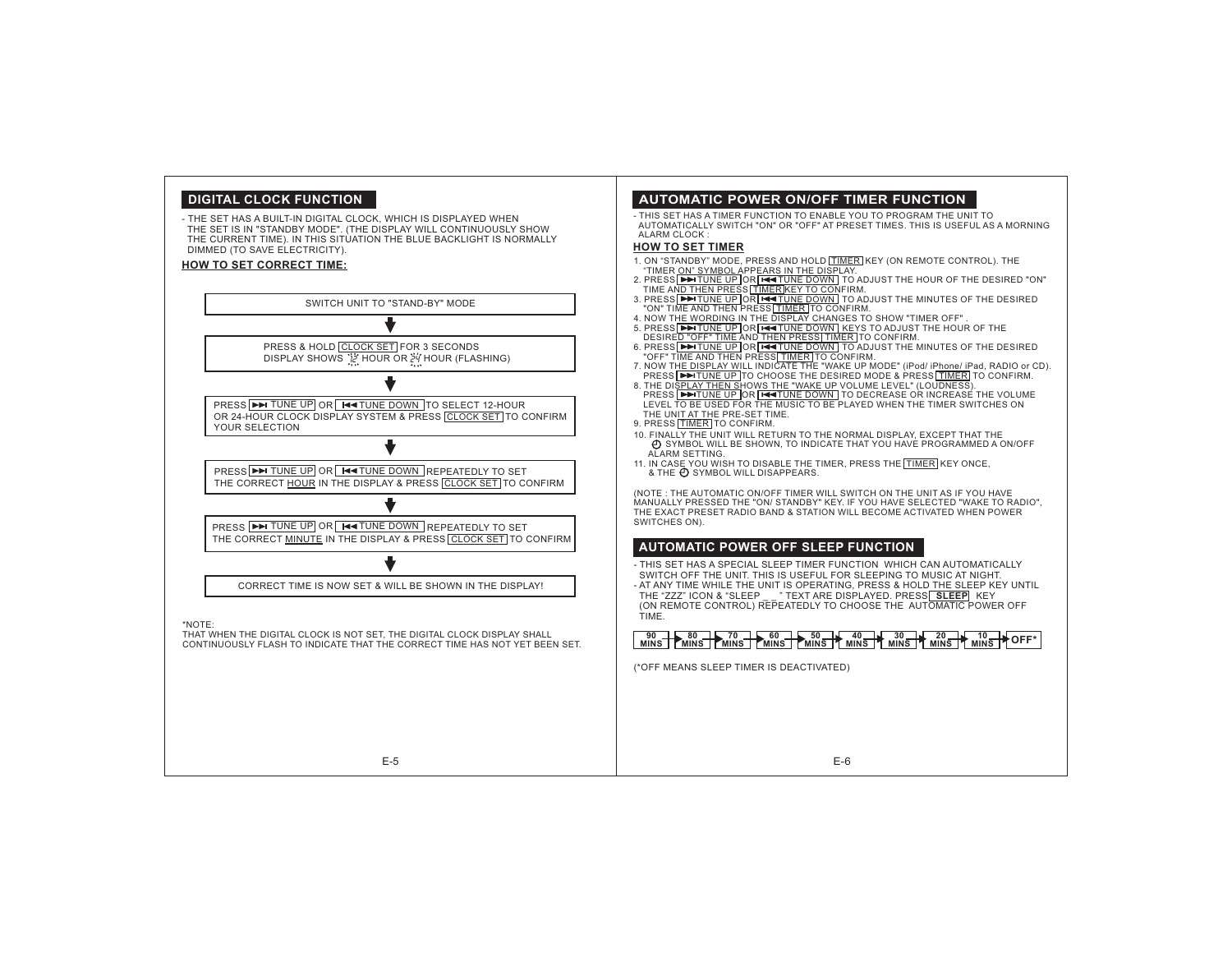#### **DIGITAL CLOCK FUNCTION**

- THE SET HAS A BUILT-IN DIGITAL CLOCK, WHICH IS DISPLAYED WHEN THE SET IS IN "STANDBY MODE". (THE DISPLAY WILL CONTINUOUSLY SHOW THE CURRENT TIME). IN THIS SITUATION THE BLUE BACKLIGHT IS NORMALLY DIMMED (TO SAVE ELECTRICITY).

#### **HOW TO SET CORRECT TIME:**



E-5

#### **AUTOMATIC POWER ON/OFF TIMER FUNCTION**

- THIS SET HAS A TIMER FUNCTION TO ENABLE YOU TO PROGRAM THE UNIT TOAUTOMATICALLY SWITCH "ON" OR "OFF" AT PRESET TIMES. THIS IS USEFUL AS A MORNING ALARM CLOCK :

#### **HOW TO SET TIMER**

- 1. ON "STANDBY" MODE, PRESS AND HOLD **TIMER** KEY (ON REMOTE CONTROL). THE "TIMER ON" SYMBOL APPEARS IN THE DISPLAY.
- <u>TUNE UP OR F⇔TUNE DOWN<br>HEN PRESS ∏IMER]KEY TO CO</u><br>TUNE UP OR F⇔TUNE DOWN
- 2. PRESS ██ TUNE UP OR F≪T TUNE DOWN TO ADJUST THE HOUR OF THE DESIRED "ON"<br>TIME AN<u>D THEN PRESS [TIMER|REY TO CON</u>FIRM.<br>3. PRESS ██ TUNE UP OR F≪T LINE DOWN TO ADJUST THE MINUTES OF THE DESIRED<br>"ON" TIME AND THEN PRESS <u></u>
- 
- ORDING IN THE DISPLAY CHANGES TO SHOW "TIMER OFF"<br>TUNE UP OR [<del>¤4 T</del>UNE DOWN] KEYS TO ADJUST THE HOU<br>FE" TIME AND THEN PRESS∏IMER] TO CONFIRM.<br><u>TUNE UP |</u>OR [<del>■4 T</del>UNE DOWN] TO ADJUST THE MINUTES (
- 4. NOW THE WORDING IN THE DISPLAY CHANGES TO SHOW "TIMER OFF"<br>5. PRESS E ETTURE UP OR FEE TURE DOWN KEYS TO ADJUST THE HOUR OF THE<br>DESIRE<u>D "OFF" TIME AND THEN PRESS∏TIMER</u> TO CONFIRM.<br>6. PRESS E ETTURE UP OR [<del>EE I</del>TURE
- 
- 7. NOW TH<u>E DISPLAY WI</u>LL INDICATE THE "WAKE UP MODE" (iPod/ iPhone/ iPad, RADIO or CD).<br>8. THE DI<u>SPLAY THEN S</u>HOWS THE "WAKE UP VOLUME LEVEL" (LOUDNESS).<br>8. THE DIS<u>PLAY THEN S</u>HOWS <u>THE "WAKE UP</u> VOLUME LEVEL" (LOUDNES THE UNIT AT THE PRE-SET TIME.<u>TUNE UP J</u>TO CHOOSE THE DE<br><u>Y THEN S</u>HOW<u>S THE "WAKE UI</u><br>TUNE UP JOR <mark>[■■TUNE DOWN</mark>
- 9. PRESS <u>|TIMER |</u> TO CONFIRM.
- 10. FINALLY THE UNIT WILL RETURN TO THE NORMAL DISPLAY, EXCEPT THAT THE
- SYMBOL WILL BE SHOWN, TO INDICATE THAT YOU HAVE PROGRAMMED A ON/OFF ALARM SETTING.
- 11. IN CASE YOU WISH TO DISABLE THE TIMER, PRESS THE TIMER KEY ONCE, & THE  $\bigcirc$  SYMBOL WILL DISAPPEARS.

(NOTE : THE AUTOMATIC ON/OFF TIMER WILL SWITCH ON THE UNIT AS IF YOU HAVE MANUALLY PRESSED THE "ON/ STANDBY" KEY. IF YOU HAVE SELECTED "WAKE TO RADIO", THE EXACT PRESET RADIO BAND & STATION WILL BECOME ACTIVATED WHEN POWER SWITCHES ON).

#### **AUTOMATIC POWER OFF SLEEP FUNCTION**

- THIS SET HAS A SPECIAL SLEEP TIMER FUNCTION WHICH CAN AUTOMATICALLY SWITCH OFF THE UNIT. THIS IS USEFUL FOR SLEEPING TO MUSIC AT NIGHT. - AT ANY TIME WHILE THE UNIT IS OPERATING, PRESS & HOLD THE SLEEP KEY UNTIL THE "ZZZ" ICON & "SLEEP \_ \_ " TEXT ARE DISPLAYED. PRESS| **SLEEP**| KEY (ON REMOTE CONTROL) REPEATEDLY TO CHOOSE THE AUTOMATIC POWER OFF TIME.

**MINS**<br> **MINS MINS MINS MINS MINS MINS MINS MINS MINS MINS MINS MINS MINS MINS MINS MINS MINS MINS MINS MINS MINS MINS MINS MINS** 

(\*OFF MEANS SLEEP TIMER IS DEACTIVATED)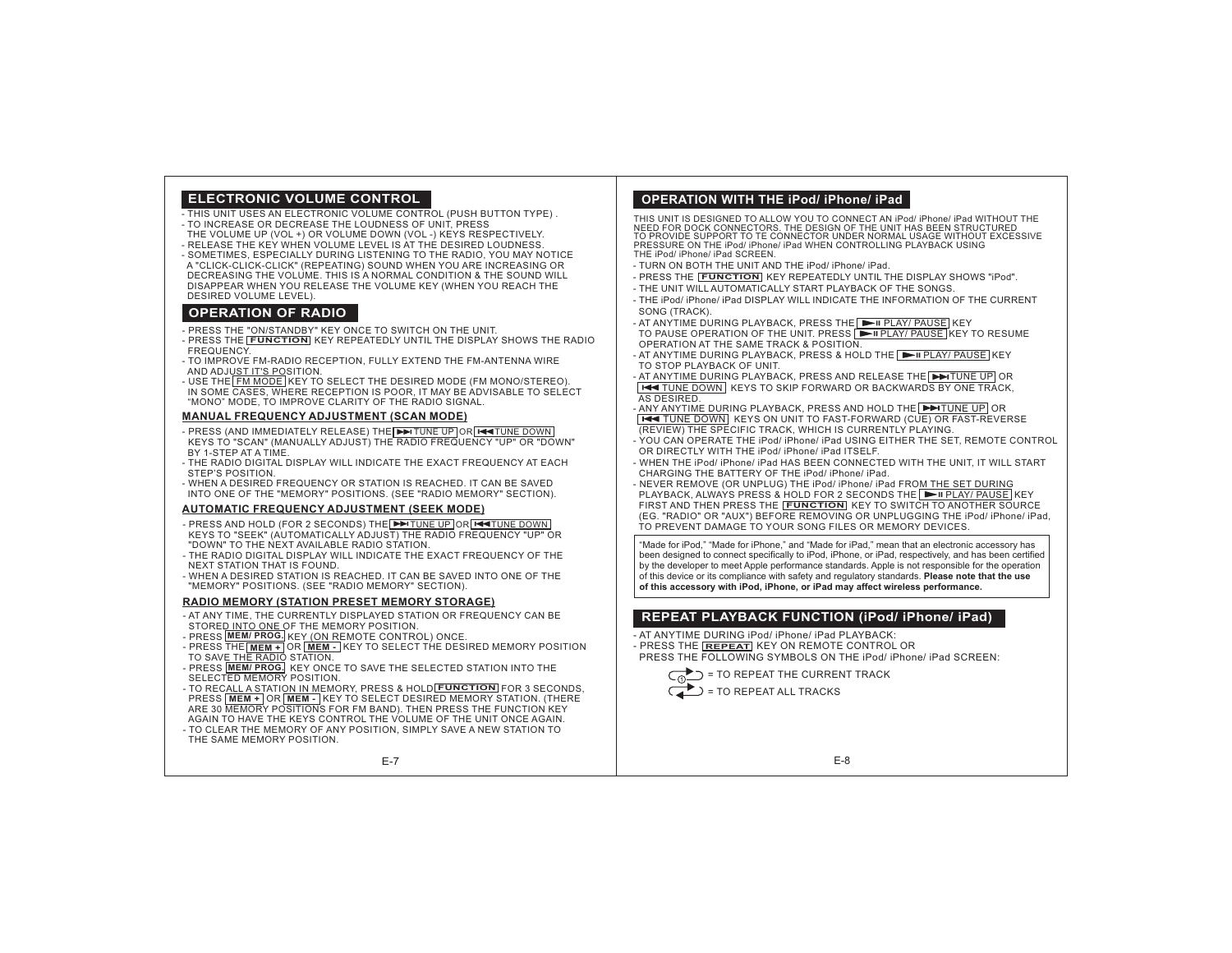## **ELECTRONIC VOLUME CONTROL**

- THIS UNIT USES AN ELECTRONIC VOLUME CONTROL (PUSH BUTTON TYPE) .
- TO INCREASE OR DECREASE THE LOUDNESS OF UNIT, PRESS
- THE VOLUME UP (VOL +) OR VOLUME DOWN (VOL -) KEYS RESPECTIVELY.
- RELEASE THE KEY WHEN VOLUME LEVEL IS AT THE DESIRED LOUDNESS. - SOMETIMES, ESPECIALLY DURING LISTENING TO THE RADIO, YOU MAY NOTICE A "CLICK-CLICK-CLICK" (REPEATING) SOUND WHEN YOU ARE INCREASING OR DECREASING THE VOLUME. THIS IS A NORMAL CONDITION & THE SOUND WILL DISAPPEAR WHEN YOU RELEASE THE VOLUME KEY (WHEN YOU REACH THE DESIRED VOLUME LEVEL).

#### **OPERATION OF RADIO**

- PRESS THE "ON/STANDBY" KEY ONCE TO SWITCH ON THE UNIT.
- PRESS THE **FUNCTION** KEY REPEATEDLY UNTIL THE DISPLAY SHOWS THE RADIO **FREQUENCY**
- TO IMPROVE FM-RADIO RECEPTION, FULLY EXTEND THE FM-ANTENNA WIRE AND ADJUST IT'S POSITION.
- USE THE FM MODE KEY TO SELECT THE DESIRED MODE (FM MONO/STEREO). IN SOME CASES, WHERE RECEPTION IS POOR, IT MAY BE ADVISABLE TO SELECT "MONO" MODE, TO IMPROVE CLARITY OF THE RADIO SIGNAL.

#### **MANUAL FREQUENCY ADJUSTMENT (SCAN MODE)**

- PRESS (AND IMMEDIATELY RELEASE) THE[ ➡ TUNE UP OR FIIIT TUNE DOWN KEYS TÒ "SCAN" (MANUALLY ADJUST) THE RADIO FREQUENCY "UP" OR "DOWN" BY 1-STEP AT A TIME.
- THE RADIO DIGITAL DISPLAY WILL INDICATE THE EXACT FREQUENCY AT EACHSTEP'S POSITION.
- WHEN A DESIRED FREQUENCY OR STATION IS REACHED. IT CAN BE SAVEDINTO ONE OF THE "MEMORY" POSITIONS. (SEE "RADIO MEMORY" SECTION).

#### **AUTOMATIC FREQUENCY ADJUSTMENT (SEEK MODE)**

- PRESS AND HOLD (FOR 2 SECONDS) THE[DDITUNE UP OR LICENTIUNE DOWN KEYS TO "SEEK" (AUTOMATICALLY ADJUST) THE RADIO FREQUENCY "UP" OR "DOWN" TO THE NEXT AVAILABLE RADIO STATION.
- THE RADIO DIGITAL DISPLAY WILL INDICATE THE EXACT FREQUENCY OF THE NEXT STATION THAT IS FOUND.
- WHEN A DESIRED STATION IS REACHED. IT CAN BE SAVED INTO ONE OF THE"MEMORY" POSITIONS. (SEE "RADIO MEMORY" SECTION).

#### **RADIO MEMORY (STATION PRESET MEMORY STORAGE)**

- AT ANY TIME, THE CURRENTLY DISPLAYED STATION OR FREQUENCY CAN BE STORED INTO ONE OF THE MEMORY POSITION.
- **PRESS MEM/PROG.** KEY (ON REMOTE CONTROL) ONCE.
- $\overline{M}$  PRESS THE  $\overline{MEM}$  +  $\overline{OM}$  OR  $\overline{MEM}$   $\overline{KEY}$  TO SELECT THE DESIRED MEMORY POSITION TO SAVE THE RADIO STATION.
- PRESS **MEM/ PROG.** KEY ONCE TO SAVE THE SELECTED STATION INTO THE SELECTED MEMORY POSITION.

- TO RECALL A STATION IN MEMORY, PRESS & HOLD FUNCTION FOR 3 SECONDS, **PRESS**  $\overline{\text{MEM + ]}}$  OR  $\overline{\text{MEM - ]}}$  KEY TO SELECT DESIRED MEMORY STATION. (THERE

- TO CLEAR THE MEMORY OF ANY POSITION, SIMPLY SAVE A NEW STATION TO ARE 30 MEMORY POSITIONS FOR FM BAND). THEN PRESS THE FUNCTION KEY AGAIN TO HAVE THE KEYS CONTROL THE VOLUME OF THE UNIT ONCE AGAIN.
- THE SAME MEMORY POSITION.

E-7

## **OPERATION WITH THE iPod/ iPhone/ iPad**

THIS UNIT IS DESIGNED TO ALLOW YOU TO CONNECT AN iPod/ iPhone/ iPad WITHOUT THE NEED FOR DOCK CONNECTORS. THE DESIGN OF THE UNIT HAS BEEN STRUCTURED TO PROVIDE SUPPORT TO TE CONNECTOR UNDER NORMAL USAGE WITHOUT EXCESSIVE<br>PRESSURE ON THE iPod/ iPhone/ iPad WHEN CONTROLLING PLAYBACK USING THE iPod/ iPhone/ iPad SCREEN.

- TURN ON BOTH THE UNIT AND THE iPod/ iPhone/ iPad.
- PRESS THE **FUNCTION** KEY REPEATEDLY UNTIL THE DISPLAY SHOWS "iPod".
- THE UNIT WILL AUTOMATICALLY START PLAYBACK OF THE SONGS.- THE iPod/ iPhone/ iPad DISPLAY WILL INDICATE THE INFORMATION OF THE CURRENT
- SONG (TRACK).
- AT ANYTIME DURING PLAYBACK, PRESS THE∣ ▶ II PLAY/ PAUSE| KEY TO PAUSE OPERATION OF THE UNIT. PRESS **PLAY/ PAUSE KEY TO RESUME** OPERATION AT THE SAME TRACK & POSITION.
- AT ANYTIME DURING PLAYBACK, PRESS & HOLD THE **IFLAY/ PAUSE** KEY TO STOP PLAYBACK OF UNIT.

- AT ANYTIME DURING PLAYBACK, PRESS AND RELEASE THE DITUNE UP OR TUNE DOWN KEYS TO SKIP FORWARD OR BACKWARDS BY ONE TRACK, AS DESIRED.

ANY ANYTIME DURING PLAYBACK, PRESS AND HOLD THE FITUNE UP OR TUNE DOWN KEYS ON UNIT TO FAST-FORWARD (CUE) OR FAST-REVERSE (REVIEW) THE SPECIFIC TRACK, WHICH IS CURRENTLY PLAYING.

- YOU CAN OPERATE THE iPod/ iPhone/ iPad USING EITHER THE SET, REMOTE CONTROL OR DIRECTLY WITH THE iPod/ iPhone/ iPad ITSELF.
- WHEN THE IPod/ IPhone/ IPad HAS BEEN CONNECTED WITH THE UNIT, IT WILL START CHARGING THE BATTERY OF THE iPod/ iPhone/ iPad.

- NEVER REMOVE (OR UNPLUG) THE iPod/ iPhone/ iPad FROM THE SET DURING PLAYBACK, ALWAYS PRESS & HOLD FOR 2 SECONDS THE I ▶ II PLAY/ PAUSE | KEY FIRST AND THEN PRESS THE KEY TO SWITCH TO ANOTHER SOURCE**FUNCTION**(EG. "RADIO" OR "AUX") BEFORE REMOVING OR UNPLUGGING THE iPod/ iPhone/ iPad, TO PREVENT DAMAGE TO YOUR SONG FILES OR MEMORY DEVICES.

"Made for iPod," "Made for iPhone," and "Made for iPad," mean that an electronic accessory has been designed to connect specifically to iPod, iPhone, or iPad, respectively, and has been certified by the developer to meet Apple performance standards. Apple is not responsible for the operation of this device or its compliance with safety and regulatory standards. **Please note that the use** of this accessory with iPod, iPhone, or iPad may affect wireless performance.

## **REPEAT PLAYBACK FUNCTION (iPod/ iPhone/ iPad)**

- AT ANYTIME DURING iPod/ iPhone/ iPad PLAYBACK:

- PRESS THE **REPEAT** KEY ON REMOTE CONTROL OR

PRESS THE FOLLOWING SYMBOLS ON THE iPod/ iPhone/ iPad SCREEN:

= TO REPEAT THE CURRENT TRACK = TO REPEAT ALL TRACKS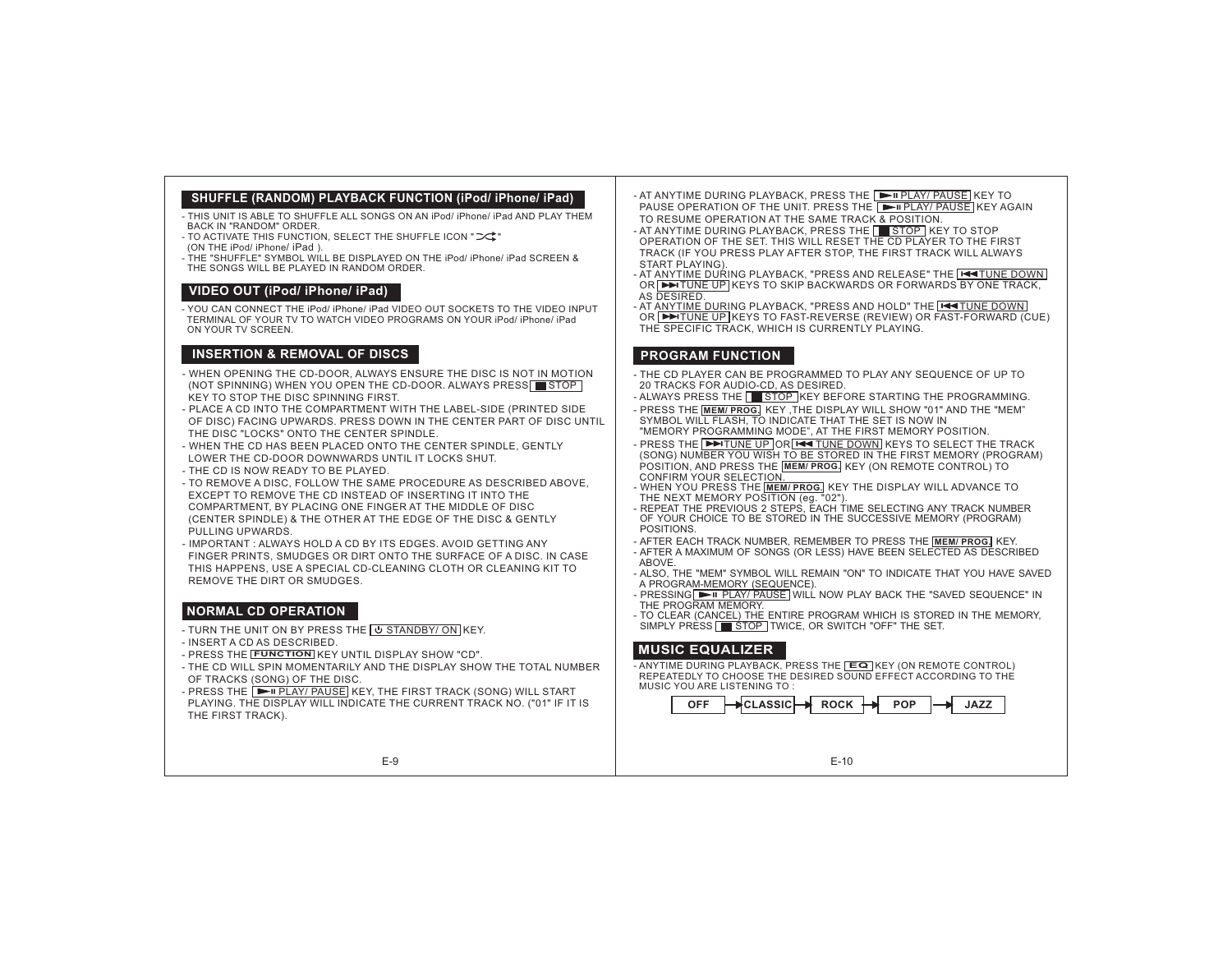## **SHUFFLE (RANDOM) PLAYBACK FUNCTION (iPod/ iPhone/ iPad)**

- THIS UNIT IS ABLE TO SHUFFLE ALL SONGS ON AN iPod/ iPhone/ iPad AND PLAY THEM BACK IN "RANDOM" ORDER.

- TO ACTIVATE THIS FUNCTION, SELECT THE SHUFFLE ICON " $\supset\uparrow$ "
- (ON THE iPod/ iPhone/ iPad).
- THE "SHUFFLE" SYMBOL WILL BE DISPLAYED ON THE iPod/ iPhone/ iPad SCREEN & THE SONGS WILL BE PLAYED IN RANDOM ORDER.

### **VIDEO OUT (iPod/ iPhone/ iPad)**

- YOU CAN CONNECT THE iPod/ iPhone/ iPad VIDEO OUT SOCKETS TO THE VIDEO INPUTTERMINAL OF YOUR TV TO WATCH VIDEO PROGRAMS ON YOUR iPod/ iPhone/ iPad ON YOUR TV SCREEN.

## **INSERTION & REMOVAL OF DISCS**

- WHEN OPENING THE CD-DOOR, ALWAYS ENSURE THE DISC IS NOT IN MOTION (NOT SPINNING) WHEN YOU OPEN THE CD-DOOR. ALWAYS PRESS∐█STOP KEY TO STOP THE DISC SPINNING FIRST.
- PLACE A CD INTO THE COMPARTMENT WITH THE LABEL-SIDE (PRINTED SIDE OF DISC) FACING UPWARDS. PRESS DOWN IN THE CENTER PART OF DISC UNTIL THE DISC "LOCKS" ONTO THE CENTER SPINDLE.
- WHEN THE CD HAS BEEN PLACED ONTO THE CENTER SPINDLE, GENTLY LOWER THE CD-DOOR DOWNWARDS UNTIL IT LOCKS SHUT.
- THE CD IS NOW READY TO BE PLAYED.
- TO REMOVE A DISC, FOLLOW THE SAME PROCEDURE AS DESCRIBED ABOVE, EXCEPT TO REMOVE THE CD INSTEAD OF INSERTING IT INTO THECOMPARTMENT, BY PLACING ONE FINGER AT THE MIDDLE OF DISC (CENTER SPINDLE) & THE OTHER AT THE EDGE OF THE DISC & GENTLY PULLING UPWARDS.
- IMPORTANT : ALWAYS HOLD A CD BY ITS EDGES. AVOID GETTING ANY

 FINGER PRINTS, SMUDGES OR DIRT ONTO THE SURFACE OF A DISC. IN CASE THIS HAPPENS, USE A SPECIAL CD-CLEANING CLOTH OR CLEANING KIT TO REMOVE THE DIRT OR SMUDGES.

## **NORMAL CD OPERATION**

- TURN THE UNIT ON BY PRESS THE <u>I © STANDBY/ ON </u>KEY.
- INSERT A CD AS DESCRIBED.
- PRESS THE **FUNCTION** KEY UNTIL DISPLAY SHOW "CD".
- THE CD WILL SPIN MOMENTARILY AND THE DISPLAY SHOW THE TOTAL NUMBEROF TRACKS (SONG) OF THE DISC.

E-9

- PRESS THE [▶" PLAY/ PAUSE] KEY, THE FIRST TRACK (SONG) WILL START
- PLAYING. THE DISPLAY WILL INDICATE THE CURRENT TRACK NO. ("01" IF IT IS THE FIRST TRACK).

- AT ANYTIME DURING PLAYBACK, PRESS THE ∐ILLE PLAY/ PAUSE KEY TO PAUSE OPERATION OF THE UNIT. PRESS THE [E∎PLAY/ PAUSE] KEY AGAIN TO RESUME OPERATION AT THE SAME TRACK & POSITION.

- AT ANYTIME DURING PLAYBACK, PRESS THE STOP KEY TO STOP OPERATION OF THE SET. THIS WILL RESET THE CD PLAYER TO THE FIRST TRACK (IF YOU PRESS PLAY AFTER STOP, THE FIRST TRACK WILL ALWAYS START PLAYING).

- AT ANYTIME DURING PLAYBACK, "PRESS AND RELEASE" THE | I I II II II DOWN OR∣▶▶ITUNE UP|KEYS TO SKIP BACKWARDS OR FORWARDS BY ONE TRACK, AS DESIRED.
- AT ANYTIME DURING PLAYBACK, "PRESS AND HOLD" THE FETUNE DOWN OR ENTUNE UP KEYS TO FAST-REVERSE (REVIEW) OR FAST-FORWARD (CUE) THE SPECIFIC TRACK, WHICH IS CURRENTLY PLAYING.

### **PROGRAM FUNCTION**

- THE CD PLAYER CAN BE PROGRAMMED TO PLAY ANY SEQUENCE OF UP TO20 TRACKS FOR AUDIO-CD, AS DESIRED.
- ALWAYS PRESS THE  $\mathsf I\blacksquare$  STOP IKEY BEFORE STARTING THE PROGRAMMING.
- PRESS THE **MEM/ PROG.** KEY, THE DISPLAY WILL SHOW "01" AND THE "MEM" SYMBOL WILL FLASH, TO INDICATE THAT THE SET IS NOW IN "MEMORY PROGRAMMING MODE", AT THE FIRST MEMORY POSITION.
- PRESS THE I ➡ TUNE UP IORI ➡ TUNE DOWN IKEYS TO SELECT THE TRACK (SONG) NUMBER YOU WISH TO BE STORED IN THE FIRST MEMORY (PROGRAM) POSITION, AND PRESS THE [<u>MEM/ PROG.</u>] KEY (ON REMOTE CONTROL) TO
- CONFIRM YOUR SELECT<u>ION.</u><br>- WHEN YOU PRESS THE <mark>[MEM/ PROG.</mark>] KEY THE DISPLAY WILL ADVANCE TO THE NEXT MEMORY POSITION (eg. "02").
- REPEAT THE PREVIOUS 2 STEPS, EACH TIME SELECTING ANY TRACK NUMBER OF YOUR CHOICE TO BE STORED IN THE SUCCESSIVE MEMORY (PROGRAM) POSITIONS.
- AFTER EACH TRACK NUMBER, REMEMBER TO PRESS THE **MEM/ PROG.** KEY. - AFTER A MAXIMUM OF SONGS (OR LESS) HAVE BEEN SELECTED AS DESCRIBED ABOVE.
- ALSO, THE "MEM" SYMBOL WILL REMAIN "ON" TO INDICATE THAT YOU HAVE SAVED A PROGRAM-MEMORY (SEQUENCE).
- PRESSING ██ PLAY/ PAUSE | WILL NOW PLAY BACK THE "SAVED SEQUENCE" IN THE PROGRAM MEMORY.
- SIMPLY PRESS ET STOP TWICE, OR SWITCH "OFF" THE SET. - TO CLEAR (CANCEL) THE ENTIRE PROGRAM WHICH IS STORED IN THE MEMORY,

## **MUSIC EQUALIZER**

- ANYTIME DURING PLAYBACK, PRESS THE KEY (ON REMOTE CONTROL) **EQ**REPEATEDLY TO CHOOSE THE DESIRED SOUND EFFECT ACCORDING TO THE MUSIC YOU ARE LISTENING TO :

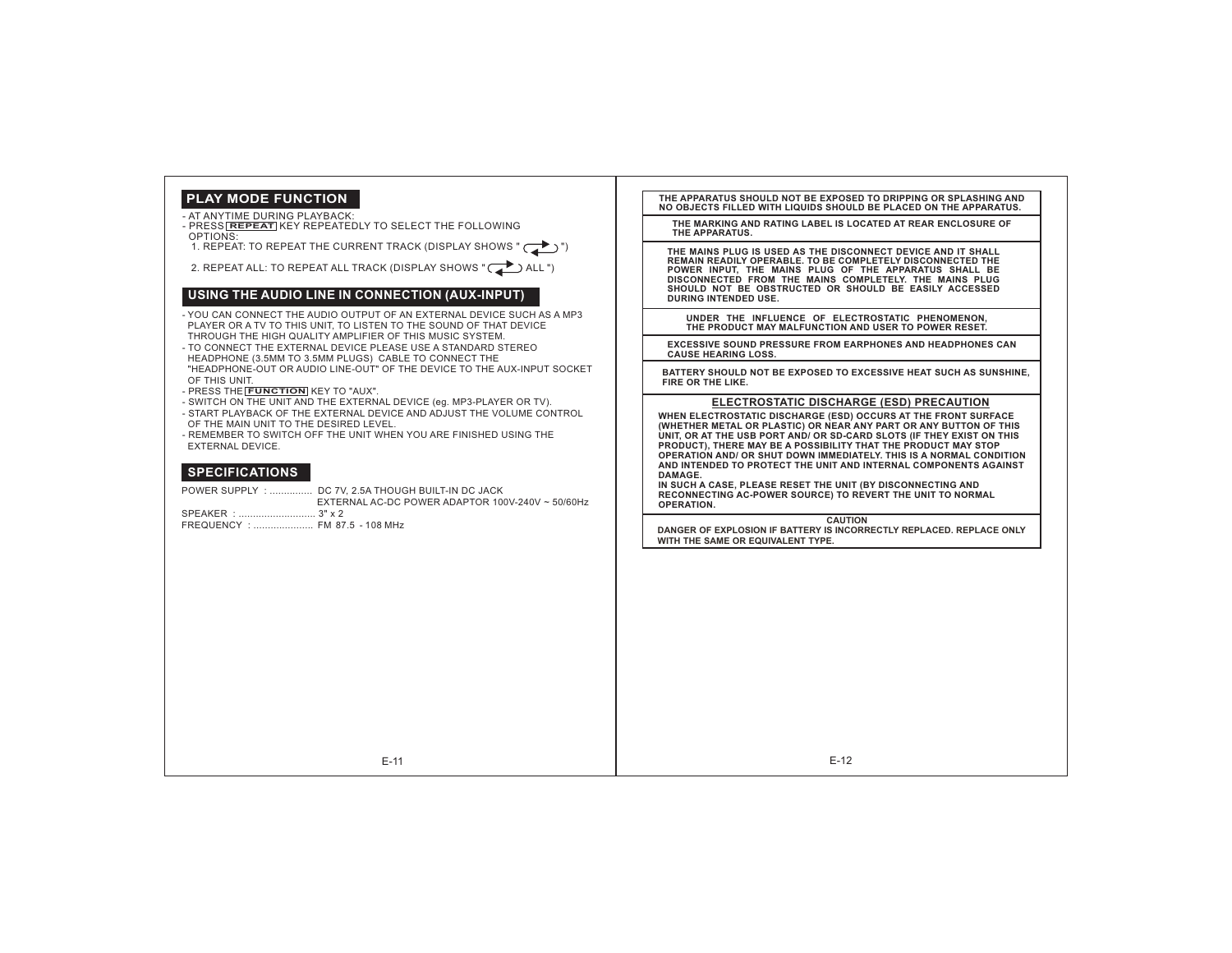## **PLAY MODE FUNCTION**

#### - AT ANYTIME DURING PLAYBACK:

- PRESS **REPEAT** KEY REPEATEDLY TO SELECT THE FOLLOWING OPTIONS:
- 1. REPEAT: TO REPEAT THE CURRENT TRACK (DISPLAY SHOWS " $\begin{pmatrix} \rightarrow \\ \rightarrow \end{pmatrix}$ ")

2. REPEAT ALL: TO REPEAT ALL TRACK (DISPLAY SHOWS " $\sum$  ALL ")

#### **USING THE AUDIO LINE IN CONNECTION (AUX-INPUT)**

- YOU CAN CONNECT THE AUDIO OUTPUT OF AN EXTERNAL DEVICE SUCH AS A MP3PLAYER OR A TV TO THIS UNIT, TO LISTEN TO THE SOUND OF THAT DEVICE THROUGH THE HIGH QUALITY AMPLIFIER OF THIS MUSIC SYSTEM.
- 
- TO CONNECT THE EXTERNAL DEVICE PLEASE USE A STANDARD STEREO HEADPHONE (3.5MM TO 3.5MM PLUGS) CABLE TO CONNECT THE
- "HEADPHONE-OUT OR AUDIO LINE-OUT" OF THE DEVICE TO THE AUX-INPUT SOCKETOF THIS UNIT.
- PRESS THE **FUNCTION** KEY TO "AUX".
- SWITCH ON THE UNIT AND THE EXTERNAL DEVICE (eg. MP3-PLAYER OR TV).
- START PLAYBACK OF THE EXTERNAL DEVICE AND ADJUST THE VOLUME CONTROL
- OF THE MAIN UNIT TO THE DESIRED LEVEL.- REMEMBER TO SWITCH OFF THE UNIT WHEN YOU ARE FINISHED USING THE
- EXTERNAL DEVICE.

## **SPECIFICATIONS**

|                                | POWER SUPPLY :  DC 7V, 2.5A THOUGH BUILT-IN DC JACK<br>EXTERNAL AC-DC POWER ADAPTOR 100V-240V ~ 50/60Hz |
|--------------------------------|---------------------------------------------------------------------------------------------------------|
| SPEAKER :  3" x 2              |                                                                                                         |
| FREQUENCY :  FM 87.5 - 108 MHz |                                                                                                         |
|                                |                                                                                                         |
|                                |                                                                                                         |
|                                |                                                                                                         |
|                                |                                                                                                         |
|                                |                                                                                                         |
|                                |                                                                                                         |
|                                |                                                                                                         |
|                                |                                                                                                         |
|                                |                                                                                                         |
|                                |                                                                                                         |
|                                |                                                                                                         |

**THE APPARATUS SHOULD NOT BE EXPOSED TO DRIPPING OR SPLASHING ANDNO OBJECTS FILLED WITH LIQUIDS SHOULD BE PLACED ON THE APPARATUS.**

**THE MARKING AND RATING LABEL IS LOCATED AT REAR ENCLOSURE OFTHE APPARATUS.**

**THE MAINS PLUG IS USED AS THE DISCONNECT DEVICE AND IT SHALL REMAIN READILY OPERABLE. TO BE COMPLETELY DISCONNECTED THE POWER INPUT, THE MAINS PLUG OF THE APPARATUS SHALL BE DISCONNECTED FROM THE MAINS COMPLETELY. THE MAINS PLUG SHOULD NOT BE OBSTRUCTED OR SHOULD BE EASILY ACCESSED DURING INTENDED USE.**

**UNDER THE INFLUENCE OF ELECTROSTATIC PHENOMENON, THE PRODUCT MAY MALFUNCTION AND USER TO POWER RESET.**

**EXCESSIVE SOUND PRESSURE FROM EARPHONES AND HEADPHONES CANCAUSE HEARING LOSS.**

**BATTERY SHOULD NOT BE EXPOSED TO EXCESSIVE HEAT SUCH AS SUNSHINE, FIRE OR THE LIKE.**

#### **ELECTROSTATIC DISCHARGE (ESD) PRECAUTION**

**WHEN ELECTROSTATIC DISCHARGE (ESD) OCCURS AT THE FRONT SURFACE** (WHETHER METAL OR PLASTIC) OR NEAR ANY PART OR ANY BUTTON OF THIS UNIT. OR AT THE USB PORT AND/ OR SD-CARD SLOTS (IF THEY EXIST ON THIS **PRODUCT), THERE MAY BE A POSSIBILITY THAT THE PRODUCT MAY STOP OPERATION AND/ OR SHUT DOWN IMMEDIATELY. THIS IS A NORMAL CONDITION AND INTENDED TO PROTECT THE UNIT AND INTERNAL COMPONENTS AGAINST DAMAGE.**

 **IN SUCH A CASE, PLEASE RESET THE UNIT (BY DISCONNECTING AND RECONNECTING AC-POWER SOURCE) TO REVERT THE UNIT TO NORMAL OPERATION.**

**CAUTION**

 **DANGER OF EXPLOSION IF BATTERY IS INCORRECTLY REPLACED. REPLACE ONLYWITH THE SAME OR EQUIVALENT TYPE.**

E-11